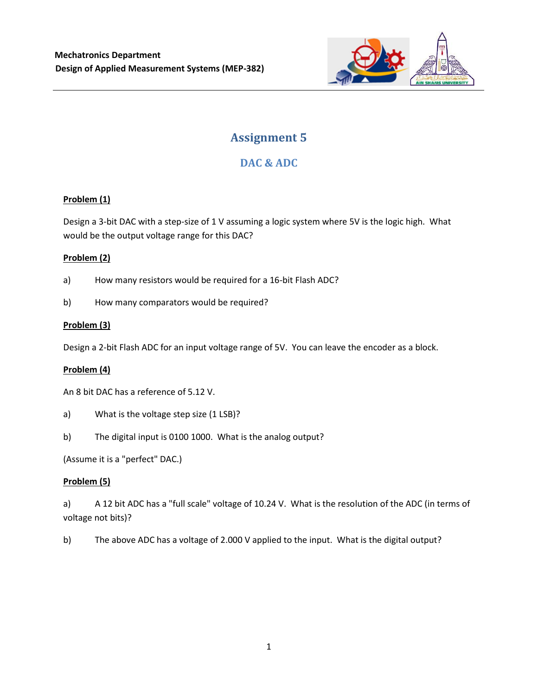

# **Assignment 5**

## **DAC & ADC**

#### **Problem (1)**

Design a 3-bit DAC with a step-size of 1 V assuming a logic system where 5V is the logic high. What would be the output voltage range for this DAC?

#### **Problem (2)**

- a) How many resistors would be required for a 16-bit Flash ADC?
- b) How many comparators would be required?

#### **Problem (3)**

Design a 2-bit Flash ADC for an input voltage range of 5V. You can leave the encoder as a block.

#### **Problem (4)**

An 8 bit DAC has a reference of 5.12 V.

- a) What is the voltage step size (1 LSB)?
- b) The digital input is 0100 1000. What is the analog output?

(Assume it is a "perfect" DAC.)

#### **Problem (5)**

a) A 12 bit ADC has a "full scale" voltage of 10.24 V. What is the resolution of the ADC (in terms of voltage not bits)?

b) The above ADC has a voltage of 2.000 V applied to the input. What is the digital output?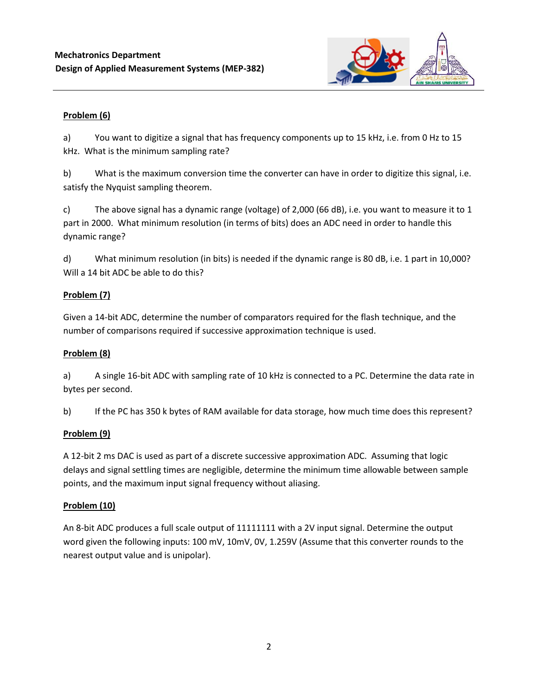

## **Problem (6)**

a) You want to digitize a signal that has frequency components up to 15 kHz, i.e. from 0 Hz to 15 kHz. What is the minimum sampling rate?

b) What is the maximum conversion time the converter can have in order to digitize this signal, i.e. satisfy the Nyquist sampling theorem.

c) The above signal has a dynamic range (voltage) of 2,000 (66 dB), i.e. you want to measure it to 1 part in 2000. What minimum resolution (in terms of bits) does an ADC need in order to handle this dynamic range?

d) What minimum resolution (in bits) is needed if the dynamic range is 80 dB, i.e. 1 part in 10,000? Will a 14 bit ADC be able to do this?

## **Problem (7)**

Given a 14-bit ADC, determine the number of comparators required for the flash technique, and the number of comparisons required if successive approximation technique is used.

## **Problem (8)**

a) A single 16-bit ADC with sampling rate of 10 kHz is connected to a PC. Determine the data rate in bytes per second.

b) If the PC has 350 k bytes of RAM available for data storage, how much time does this represent?

## **Problem (9)**

A 12-bit 2 ms DAC is used as part of a discrete successive approximation ADC. Assuming that logic delays and signal settling times are negligible, determine the minimum time allowable between sample points, and the maximum input signal frequency without aliasing.

## **Problem (10)**

An 8-bit ADC produces a full scale output of 11111111 with a 2V input signal. Determine the output word given the following inputs: 100 mV, 10mV, 0V, 1.259V (Assume that this converter rounds to the nearest output value and is unipolar).